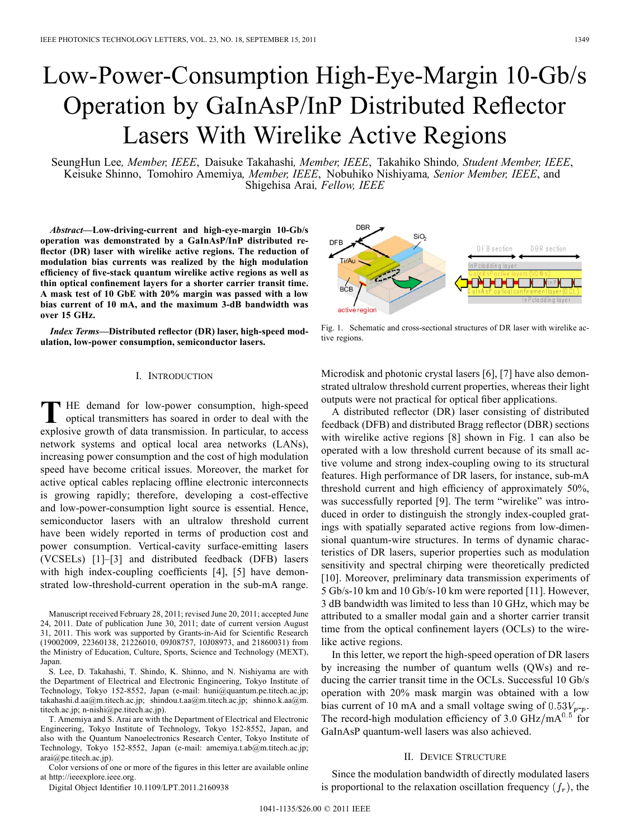# Low-Power-Consumption High-Eye-Margin 10-Gb/s Operation by GaInAsP/InP Distributed Reflector Lasers With Wirelike Active Regions

SeungHun Lee*, Member, IEEE*, Daisuke Takahashi*, Member, IEEE*, Takahiko Shindo*, Student Member, IEEE*, Keisuke Shinno, Tomohiro Amemiya*, Member, IEEE*, Nobuhiko Nishiyama*, Senior Member, IEEE*, and Shigehisa Arai*, Fellow, IEEE*

**DBF** 

DER

Ti/Au

**BCB** 

active regio

 $SiO$ 

*Abstract—***Low-driving-current and high-eye-margin 10-Gb/s operation was demonstrated by a GaInAsP/InP distributed reflector (DR) laser with wirelike active regions. The reduction of modulation bias currents was realized by the high modulation efficiency of five-stack quantum wirelike active regions as well as thin optical confinement layers for a shorter carrier transit time. A mask test of 10 GbE with 20% margin was passed with a low bias current of 10 mA, and the maximum 3-dB bandwidth was over 15 GHz.**

*Index Terms—***Distributed reflector (DR) laser, high-speed modulation, low-power consumption, semiconductor lasers.**

# I. INTRODUCTION

THE demand for low-power consumption, high-speed optical transmitters has soared in order to deal with the explosive growth of data transmission. In particular, to access network systems and optical local area networks (LANs), increasing power consumption and the cost of high modulation speed have become critical issues. Moreover, the market for active optical cables replacing offline electronic interconnects is growing rapidly; therefore, developing a cost-effective and low-power-consumption light source is essential. Hence, semiconductor lasers with an ultralow threshold current have been widely reported in terms of production cost and power consumption. Vertical-cavity surface-emitting lasers (VCSELs) [1]–[3] and distributed feedback (DFB) lasers with high index-coupling coefficients [4], [5] have demonstrated low-threshold-current operation in the sub-mA range.

Manuscript received February 28, 2011; revised June 20, 2011; accepted June 24, 2011. Date of publication June 30, 2011; date of current version August 31, 2011. This work was supported by Grants-in-Aid for Scientific Research (19002009, 22360138, 21226010, 09J08757, 10J08973, and 21860031) from the Ministry of Education, Culture, Sports, Science and Technology (MEXT), Japan.

S. Lee, D. Takahashi, T. Shindo, K. Shinno, and N. Nishiyama are with the Department of Electrical and Electronic Engineering, Tokyo Institute of Technology, Tokyo 152-8552, Japan (e-mail: huni@quantum.pe.titech.ac.jp; takahashi.d.aa@m.titech.ac.jp; shindou.t.aa@m.titech.ac.jp; shinno.k.aa@m. titech.ac.jp; n-nishi@pe.titech.ac.jp).

T. Amemiya and S. Arai are with the Department of Electrical and Electronic Engineering, Tokyo Institute of Technology, Tokyo 152-8552, Japan, and also with the Quantum Nanoelectronics Research Center, Tokyo Institute of Technology, Tokyo 152-8552, Japan (e-mail: amemiya.t.ab@m.titech.ac.jp; arai@pe.titech.ac.jp).

Color versions of one or more of the figures in this letter are available online at http://ieeexplore.ieee.org.

Digital Object Identifier 10.1109/LPT.2011.2160938



Microdisk and photonic crystal lasers [6], [7] have also demonstrated ultralow threshold current properties, whereas their light outputs were not practical for optical fiber applications.

A distributed reflector (DR) laser consisting of distributed feedback (DFB) and distributed Bragg reflector (DBR) sections with wirelike active regions [8] shown in Fig. 1 can also be operated with a low threshold current because of its small active volume and strong index-coupling owing to its structural features. High performance of DR lasers, for instance, sub-mA threshold current and high efficiency of approximately 50%, was successfully reported [9]. The term "wirelike" was introduced in order to distinguish the strongly index-coupled gratings with spatially separated active regions from low-dimensional quantum-wire structures. In terms of dynamic characteristics of DR lasers, superior properties such as modulation sensitivity and spectral chirping were theoretically predicted [10]. Moreover, preliminary data transmission experiments of 5 Gb/s-10 km and 10 Gb/s-10 km were reported [11]. However, 3 dB bandwidth was limited to less than 10 GHz, which may be attributed to a smaller modal gain and a shorter carrier transit time from the optical confinement layers (OCLs) to the wirelike active regions.

In this letter, we report the high-speed operation of DR lasers by increasing the number of quantum wells (QWs) and reducing the carrier transit time in the OCLs. Successful 10 Gb/s operation with 20% mask margin was obtained with a low bias current of 10 mA and a small voltage swing of  $0.53V_{n-n}$ . The record-high modulation efficiency of 3.0  $GHz/mA<sup>0.5</sup>$  for GaInAsP quantum-well lasers was also achieved.

# II. DEVICE STRUCTURE

Since the modulation bandwidth of directly modulated lasers is proportional to the relaxation oscillation frequency  $(f_r)$ , the

D.R.R. section

D.F.R.section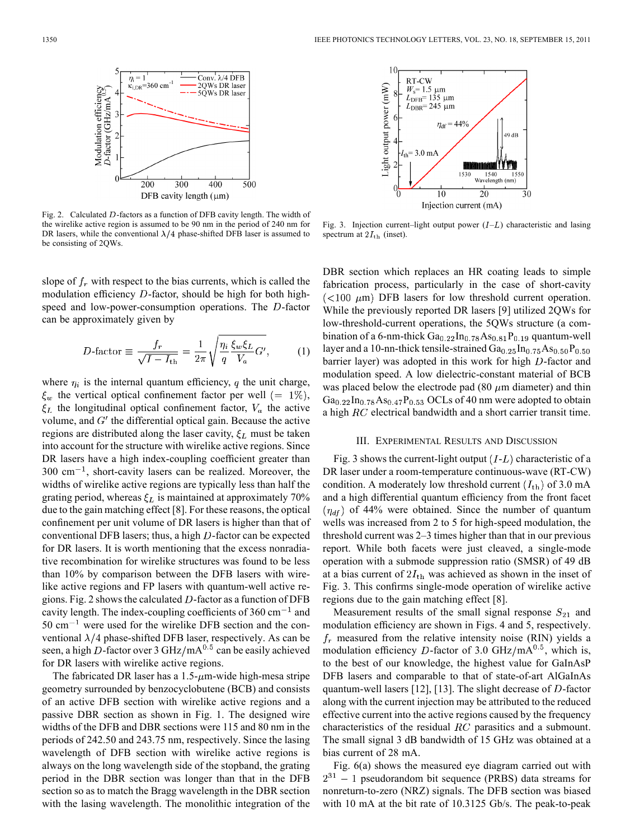

Fig. 2. Calculated  $D$ -factors as a function of DFB cavity length. The width of the wirelike active region is assumed to be 90 nm in the period of 240 nm for DR lasers, while the conventional  $\lambda/4$  phase-shifted DFB laser is assumed to be consisting of 2QWs.

slope of  $f_r$  with respect to the bias currents, which is called the modulation efficiency  $D$ -factor, should be high for both highspeed and low-power-consumption operations. The  $D$ -factor can be approximately given by

$$
D\text{-factor} \equiv \frac{f_r}{\sqrt{I - I_{\text{th}}}} = \frac{1}{2\pi} \sqrt{\frac{\eta_i}{q} \frac{\xi_w \xi_L}{V_a} G'},\tag{1}
$$

where  $\eta_i$  is the internal quantum efficiency, q the unit charge,  $\xi_w$  the vertical optical confinement factor per well (= 1%),  $\xi_L$  the longitudinal optical confinement factor,  $V_a$  the active volume, and  $G'$  the differential optical gain. Because the active regions are distributed along the laser cavity,  $\xi_L$  must be taken into account for the structure with wirelike active regions. Since DR lasers have a high index-coupling coefficient greater than  $300 \text{ cm}^{-1}$ , short-cavity lasers can be realized. Moreover, the widths of wirelike active regions are typically less than half the grating period, whereas  $\xi_L$  is maintained at approximately 70% due to the gain matching effect [8]. For these reasons, the optical confinement per unit volume of DR lasers is higher than that of conventional DFB lasers; thus, a high  $D$ -factor can be expected for DR lasers. It is worth mentioning that the excess nonradiative recombination for wirelike structures was found to be less than 10% by comparison between the DFB lasers with wirelike active regions and FP lasers with quantum-well active regions. Fig. 2 shows the calculated  $D$ -factor as a function of DFB cavity length. The index-coupling coefficients of 360  $cm^{-1}$  and  $50 \text{ cm}^{-1}$  were used for the wirelike DFB section and the conventional  $\lambda/4$  phase-shifted DFB laser, respectively. As can be seen, a high D-factor over 3 GHz/mA $^{0.5}$  can be easily achieved for DR lasers with wirelike active regions.

The fabricated DR laser has a  $1.5$ - $\mu$ m-wide high-mesa stripe geometry surrounded by benzocyclobutene (BCB) and consists of an active DFB section with wirelike active regions and a passive DBR section as shown in Fig. 1. The designed wire widths of the DFB and DBR sections were 115 and 80 nm in the periods of 242.50 and 243.75 nm, respectively. Since the lasing wavelength of DFB section with wirelike active regions is always on the long wavelength side of the stopband, the grating period in the DBR section was longer than that in the DFB section so as to match the Bragg wavelength in the DBR section with the lasing wavelength. The monolithic integration of the



Fig. 3. Injection current–light output power  $(I-L)$  characteristic and lasing spectrum at  $2I_{\text{th}}$  (inset).

DBR section which replaces an HR coating leads to simple fabrication process, particularly in the case of short-cavity  $(<$ 100  $\mu$ m) DFB lasers for low threshold current operation. While the previously reported DR lasers [9] utilized 2QWs for low-threshold-current operations, the 5QWs structure (a combination of a 6-nm-thick  $Ga_{0.22}$   $In_{0.78} As_{0.81}$   $P_{0.19}$  quantum-well layer and a 10-nn-thick tensile-strained  $Ga_{0.25}$  In<sub>0.75</sub>As<sub>0.50</sub>P<sub>0.50</sub> barrier layer) was adopted in this work for high  $D$ -factor and modulation speed. A low dielectric-constant material of BCB was placed below the electrode pad (80  $\mu$ m diameter) and thin  $Ga<sub>0.22</sub> In<sub>0.78</sub> As<sub>0.47</sub>P<sub>0.53</sub> OCLs of 40 nm were adopted to obtain$ a high  $RC$  electrical bandwidth and a short carrier transit time.

## III. EXPERIMENTAL RESULTS AND DISCUSSION

Fig. 3 shows the current-light output  $(I-L)$  characteristic of a DR laser under a room-temperature continuous-wave (RT-CW) condition. A moderately low threshold current  $(I_{th})$  of 3.0 mA and a high differential quantum efficiency from the front facet  $(\eta_{df})$  of 44% were obtained. Since the number of quantum wells was increased from 2 to 5 for high-speed modulation, the threshold current was 2–3 times higher than that in our previous report. While both facets were just cleaved, a single-mode operation with a submode suppression ratio (SMSR) of 49 dB at a bias current of  $2I_{\text{th}}$  was achieved as shown in the inset of Fig. 3. This confirms single-mode operation of wirelike active regions due to the gain matching effect [8].

Measurement results of the small signal response  $S_{21}$  and modulation efficiency are shown in Figs. 4 and 5, respectively.  $f<sub>r</sub>$  measured from the relative intensity noise (RIN) yields a modulation efficiency D-factor of 3.0 GHz/mA $^{0.5}$ , which is, to the best of our knowledge, the highest value for GaInAsP DFB lasers and comparable to that of state-of-art AlGaInAs quantum-well lasers [12], [13]. The slight decrease of  $D$ -factor along with the current injection may be attributed to the reduced effective current into the active regions caused by the frequency characteristics of the residual  $RC$  parasitics and a submount. The small signal 3 dB bandwidth of 15 GHz was obtained at a bias current of 28 mA.

Fig. 6(a) shows the measured eye diagram carried out with  $2^{31} - 1$  pseudorandom bit sequence (PRBS) data streams for nonreturn-to-zero (NRZ) signals. The DFB section was biased with 10 mA at the bit rate of 10.3125 Gb/s. The peak-to-peak